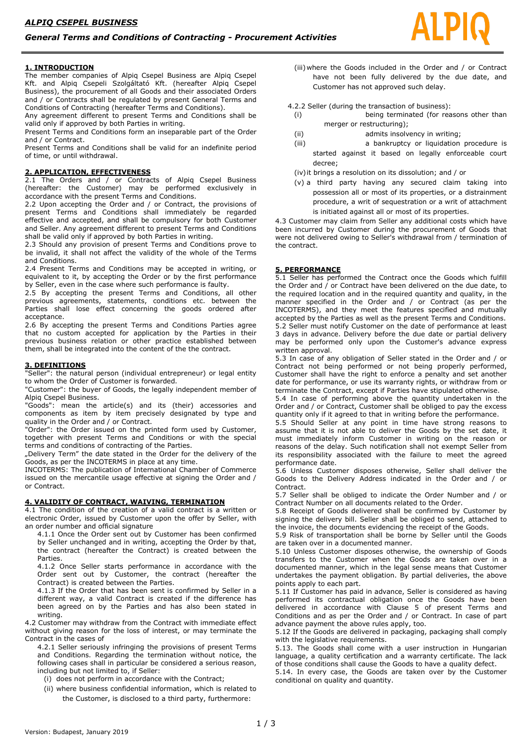### **1. INTRODUCTION**

The member companies of Alpiq Csepel Business are Alpiq Csepel Kft. and Alpiq Csepeli Szolgáltató Kft. (hereafter Alpiq Csepel Business), the procurement of all Goods and their associated Orders and / or Contracts shall be regulated by present General Terms and Conditions of Contracting (hereafter Terms and Conditions).

Any agreement different to present Terms and Conditions shall be valid only if approved by both Parties in writing.

Present Terms and Conditions form an inseparable part of the Order and / or Contract.

Present Terms and Conditions shall be valid for an indefinite period of time, or until withdrawal.

## **2. APPLICATION, EFFECTIVENESS**

2.1 The Orders and / or Contracts of Alpiq Csepel Business (hereafter: the Customer) may be performed exclusively in accordance with the present Terms and Conditions.

2.2 Upon accepting the Order and / or Contract, the provisions of present Terms and Conditions shall immediately be regarded effective and accepted, and shall be compulsory for both Customer and Seller. Any agreement different to present Terms and Conditions shall be valid only if approved by both Parties in writing.

2.3 Should any provision of present Terms and Conditions prove to be invalid, it shall not affect the validity of the whole of the Terms and Conditions.

2.4 Present Terms and Conditions may be accepted in writing, or equivalent to it, by accepting the Order or by the first performance by Seller, even in the case where such performance is faulty.

2.5 By accepting the present Terms and Conditions, all other previous agreements, statements, conditions etc. between the Parties shall lose effect concerning the goods ordered after acceptance.

2.6 By accepting the present Terms and Conditions Parties agree that no custom accepted for application by the Parties in their previous business relation or other practice established between them, shall be integrated into the content of the the contract.

### **3. DEFINITIONS**

"Seller": the natural person (individual entrepreneur) or legal entity to whom the Order of Customer is forwarded.

"Customer": the buyer of Goods, the legally independent member of Alpiq Csepel Business.

"Goods": mean the article(s) and its (their) accessories and components as item by item precisely designated by type and quality in the Order and / or Contract.

"Order": the Order issued on the printed form used by Customer, together with present Terms and Conditions or with the special terms and conditions of contracting of the Parties.

"Delivery Term" the date stated in the Order for the delivery of the Goods, as per the INCOTERMS in place at any time.

INCOTERMS: The publication of International Chamber of Commerce issued on the mercantile usage effective at signing the Order and / or Contract.

### **4. VALIDITY OF CONTRACT, WAIVING, TERMINATION**

4.1 The condition of the creation of a valid contract is a written or electronic Order, issued by Customer upon the offer by Seller, with an order number and official signature

4.1.1 Once the Order sent out by Customer has been confirmed by Seller unchanged and in writing, accepting the Order by that, the contract (hereafter the Contract) is created between the Parties.

4.1.2 Once Seller starts performance in accordance with the Order sent out by Customer, the contract (hereafter the Contract) is created between the Parties.

4.1.3 If the Order that has been sent is confirmed by Seller in a different way, a valid Contract is created if the difference has been agreed on by the Parties and has also been stated in writing.

4.2 Customer may withdraw from the Contract with immediate effect without giving reason for the loss of interest, or may terminate the Contract in the cases of

4.2.1 Seller seriously infringing the provisions of present Terms and Conditions. Regarding the termination without notice, the following cases shall in particular be considered a serious reason, including but not limited to, if Seller:

(i) does not perform in accordance with the Contract;

(ii) where business confidential information, which is related to the Customer, is disclosed to a third party, furthermore:

(iii)where the Goods included in the Order and / or Contract have not been fully delivered by the due date, and Customer has not approved such delay.

4.2.2 Seller (during the transaction of business):

- (i) being terminated (for reasons other than merger or restructuring):
- (ii) admits insolvency in writing;
- (iii) a bankruptcy or liquidation procedure is started against it based on legally enforceable court
- decree;
- (iv)it brings a resolution on its dissolution; and / or
- (v) a third party having any secured claim taking into possession all or most of its properties, or a distrainment procedure, a writ of sequestration or a writ of attachment is initiated against all or most of its properties.

4.3 Customer may claim from Seller any additional costs which have been incurred by Customer during the procurement of Goods that were not delivered owing to Seller's withdrawal from / termination of the contract.

### **5. PERFORMANCE**

5.1 Seller has performed the Contract once the Goods which fulfill the Order and / or Contract have been delivered on the due date, to the required location and in the required quantity and quality, in the manner specified in the Order and / or Contract (as per the INCOTERMS), and they meet the features specified and mutually accepted by the Parties as well as the present Terms and Conditions. 5.2 Seller must notify Customer on the date of performance at least 3 days in advance. Delivery before the due date or partial delivery may be performed only upon the Customer's advance express written approval.

5.3 In case of any obligation of Seller stated in the Order and / or Contract not being performed or not being properly performed, Customer shall have the right to enforce a penalty and set another date for performance, or use its warranty rights, or withdraw from or terminate the Contract, except if Parties have stipulated otherwise.

5.4 In case of performing above the quantity undertaken in the Order and / or Contract, Customer shall be obliged to pay the excess quantity only if it agreed to that in writing before the performance.

5.5 Should Seller at any point in time have strong reasons to assume that it is not able to deliver the Goods by the set date, it must immediately inform Customer in writing on the reason or reasons of the delay. Such notification shall not exempt Seller from its responsibility associated with the failure to meet the agreed performance date.

5.6 Unless Customer disposes otherwise, Seller shall deliver the Goods to the Delivery Address indicated in the Order and / or Contract.

5.7 Seller shall be obliged to indicate the Order Number and / or Contract Number on all documents related to the Order.

5.8 Receipt of Goods delivered shall be confirmed by Customer by signing the delivery bill. Seller shall be obliged to send, attached to the invoice, the documents evidencing the receipt of the Goods.

5.9 Risk of transportation shall be borne by Seller until the Goods are taken over in a documented manner.

5.10 Unless Customer disposes otherwise, the ownership of Goods transfers to the Customer when the Goods are taken over in a documented manner, which in the legal sense means that Customer undertakes the payment obligation. By partial deliveries, the above points apply to each part.

5.11 If Customer has paid in advance, Seller is considered as having performed its contractual obligation once the Goods have been delivered in accordance with Clause 5 of present Terms and Conditions and as per the Order and / or Contract. In case of part advance payment the above rules apply, too.

5.12 If the Goods are delivered in packaging, packaging shall comply with the legislative requirements.

5.13. The Goods shall come with a user instruction in Hungarian language, a quality certification and a warranty certificate. The lack of those conditions shall cause the Goods to have a quality defect.

5.14. In every case, the Goods are taken over by the Customer conditional on quality and quantity.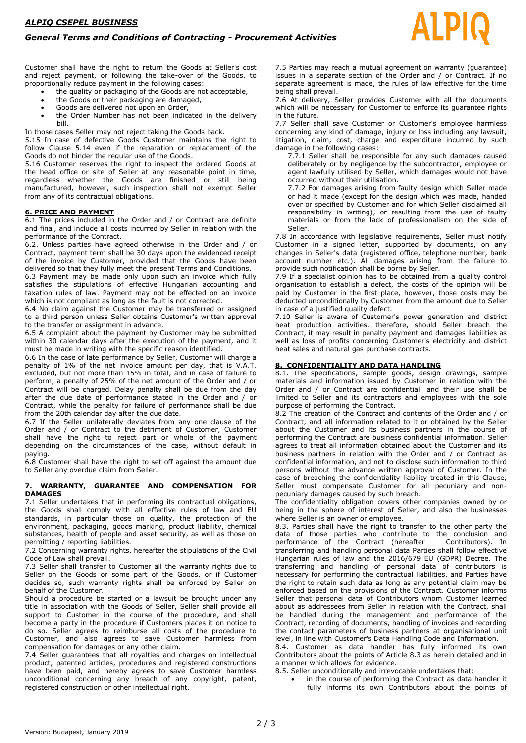Customer shall have the right to return the Goods at Seller's cost and reject payment, or following the take-over of the Goods, to proportionally reduce payment in the following cases:

- the quality or packaging of the Goods are not acceptable,
- the Goods or their packaging are damaged,
- Goods are delivered not upon an Order,
- the Order Number has not been indicated in the delivery bill.

In those cases Seller may not reject taking the Goods back.

5.15 In case of defective Goods Customer maintains the right to follow Clause 5.14 even if the reparation or replacement of the Goods do not hinder the regular use of the Goods.

5.16 Customer reserves the right to inspect the ordered Goods at the head office or site of Seller at any reasonable point in time, regardless whether the Goods are finished or still being manufactured, however, such inspection shall not exempt Seller from any of its contractual obligations.

### **6. PRICE AND PAYMENT**

6.1 The prices included in the Order and / or Contract are definite and final, and include all costs incurred by Seller in relation with the performance of the Contract.

6.2. Unless parties have agreed otherwise in the Order and / or Contract, payment term shall be 30 days upon the evidenced receipt of the invoice by Customer, provided that the Goods have been delivered so that they fully meet the present Terms and Conditions.

6.3 Payment may be made only upon such an invoice which fully satisfies the stipulations of effective Hungarian accounting and taxation rules of law. Payment may not be effected on an invoice which is not compliant as long as the fault is not corrected.

6.4 No claim against the Customer may be transferred or assigned to a third person unless Seller obtains Customer's written approval to the transfer or assignment in advance.

6.5 A complaint about the payment by Customer may be submitted within 30 calendar days after the execution of the payment, and it must be made in writing with the specific reason identified.

6.6 In the case of late performance by Seller, Customer will charge a penalty of 1% of the net invoice amount per day, that is V.A.T. excluded, but not more than 15% in total, and in case of failure to perform, a penalty of 25% of the net amount of the Order and / or Contract will be charged. Delay penalty shall be due from the day after the due date of performance stated in the Order and / or Contract, while the penalty for failure of performance shall be due from the 20th calendar day after the due date.

6.7 If the Seller unilaterally deviates from any one clause of the Order and / or Contract to the detriment of Customer, Customer shall have the right to reject part or whole of the payment depending on the circumstances of the case, without default in paying.

6.8 Customer shall have the right to set off against the amount due to Seller any overdue claim from Seller.

### **7. WARRANTY, GUARANTEE AND COMPENSATION FOR DAMAGES**

7.1 Seller undertakes that in performing its contractual obligations, the Goods shall comply with all effective rules of law and EU standards, in particular those on quality, the protection of the environment, packaging, goods marking, product liability, chemical substances, health of people and asset security, as well as those on permitting / reporting liabilities.

7.2 Concerning warranty rights, hereafter the stipulations of the Civil Code of Law shall prevail.

7.3 Seller shall transfer to Customer all the warranty rights due to Seller on the Goods or some part of the Goods, or if Customer decides so, such warranty rights shall be enforced by Seller on behalf of the Customer.

Should a procedure be started or a lawsuit be brought under any title in association with the Goods of Seller, Seller shall provide all support to Customer in the course of the procedure, and shall become a party in the procedure if Customers places it on notice to do so. Seller agrees to reimburse all costs of the procedure to Customer, and also agrees to save Customer harmless from compensation for damages or any other claim.

7.4 Seller guarantees that all royalties and charges on intellectual product, patented articles, procedures and registered constructions have been paid, and hereby agrees to save Customer harmless unconditional concerning any breach of any copyright, patent, registered construction or other intellectual right.

7.5 Parties may reach a mutual agreement on warranty (guarantee) issues in a separate section of the Order and / or Contract. If no separate agreement is made, the rules of law effective for the time being shall prevail.

7.6 At delivery, Seller provides Customer with all the documents which will be necessary for Customer to enforce its guarantee rights in the future.

7.7 Seller shall save Customer or Customer's employee harmless concerning any kind of damage, injury or loss including any lawsuit, litigation, claim, cost, charge and expenditure incurred by such damage in the following cases:

7.7.1 Seller shall be responsible for any such damages caused deliberately or by negligence by the subcontractor, employee or agent lawfully utilised by Seller, which damages would not have occurred without their utilisation.

7.7.2 For damages arising from faulty design which Seller made or had it made (except for the design which was made, handed over or specified by Customer and for which Seller disclaimed all responsibility in writing), or resulting from the use of faulty materials or from the lack of professionalism on the side of Seller.

7.8 In accordance with legislative requirements, Seller must notify Customer in a signed letter, supported by documents, on any changes in Seller's data (registered office, telephone number, bank account number etc.). All damages arising from the failure to provide such notification shall be borne by Seller.

7.9 If a specialist opinion has to be obtained from a quality control organisation to establish a defect, the costs of the opinion will be paid by Customer in the first place, however, those costs may be deducted unconditionally by Customer from the amount due to Seller in case of a justified quality defect.

7.10 Seller is aware of Customer's power generation and district heat production activities, therefore, should Seller breach the Contract, it may result in penalty payment and damages liabilities as well as loss of profits concerning Customer's electricity and district heat sales and natural gas purchase contracts.

### **8. CONFIDENTIALITY AND DATA HANDLING**

8.1. The specifications, sample goods, design drawings, sample materials and information issued by Customer in relation with the Order and / or Contract are confidential, and their use shall be limited to Seller and its contractors and employees with the sole purpose of performing the Contract.

8.2 The creation of the Contract and contents of the Order and / or Contract, and all information related to it or obtained by the Seller about the Customer and its business partners in the course of performing the Contract are business confidential information. Seller agrees to treat all information obtained about the Customer and its business partners in relation with the Order and / or Contract as confidential information, and not to disclose such information to third persons without the advance written approval of Customer. In the case of breaching the confidentiality liability treated in this Clause, Seller must compensate Customer for all pecuniary and nonpecuniary damages caused by such breach.

The confidentiality obligation covers other companies owned by or being in the sphere of interest of Seller, and also the businesses where Seller is an owner or employee.

8.3. Parties shall have the right to transfer to the other party the data of those parties who contribute to the conclusion and performance of the Contract (hereafter Contributors). In performance of the Contract (hereafter transferring and handling personal data Parties shall follow effective Hungarian rules of law and the 2016/679 EU (GDPR) Decree. The transferring and handling of personal data of contributors is necessary for performing the contractual liabilities, and Parties have the right to retain such data as long as any potential claim may be enforced based on the provisions of the Contract. Customer informs Seller that personal data of Contributors whom Customer learned about as addressees from Seller in relation with the Contract, shall be handled during the management and performance of the Contract, recording of documents, handling of invoices and recording the contact parameters of business partners at organisational unit level, in line with Customer's Data Handling Code and Information.

8.4. Customer as data handler has fully informed its own Contributors about the points of Article 8.3 as herein detailed and in a manner which allows for evidence.

- 8.5. Seller unconditionally and irrevocable undertakes that:
	- in the course of performing the Contract as data handler it fully informs its own Contributors about the points of